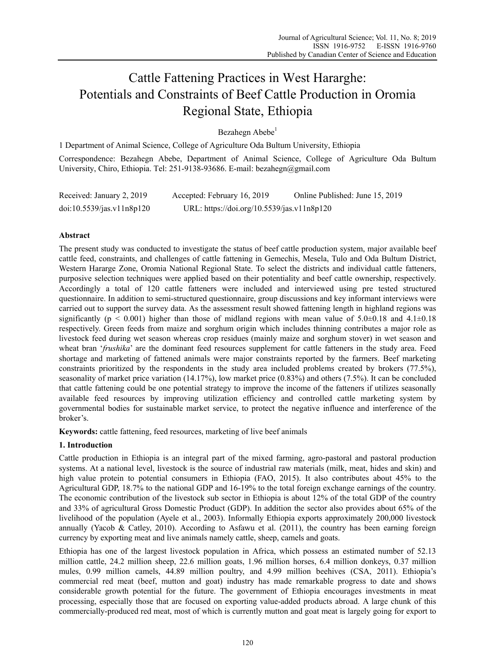# Cattle Fattening Practices in West Hararghe: Potentials and Constraints of Beef Cattle Production in Oromia Regional State, Ethiopia

Bezahegn Abebe<sup>1</sup>

1 Department of Animal Science, College of Agriculture Oda Bultum University, Ethiopia

Correspondence: Bezahegn Abebe, Department of Animal Science, College of Agriculture Oda Bultum University, Chiro, Ethiopia. Tel: 251-9138-93686. E-mail: bezahegn@gmail.com

| Received: January 2, 2019 | Accepted: February 16, 2019                | Online Published: June 15, 2019 |
|---------------------------|--------------------------------------------|---------------------------------|
| doi:10.5539/jas.v11n8p120 | URL: https://doi.org/10.5539/jas.v11n8p120 |                                 |

# **Abstract**

The present study was conducted to investigate the status of beef cattle production system, major available beef cattle feed, constraints, and challenges of cattle fattening in Gemechis, Mesela, Tulo and Oda Bultum District, Western Hararge Zone, Oromia National Regional State. To select the districts and individual cattle fatteners, purposive selection techniques were applied based on their potentiality and beef cattle ownership, respectively. Accordingly a total of 120 cattle fatteners were included and interviewed using pre tested structured questionnaire. In addition to semi-structured questionnaire, group discussions and key informant interviews were carried out to support the survey data. As the assessment result showed fattening length in highland regions was significantly ( $p < 0.001$ ) higher than those of midland regions with mean value of  $5.0\pm0.18$  and  $4.1\pm0.18$ respectively. Green feeds from maize and sorghum origin which includes thinning contributes a major role as livestock feed during wet season whereas crop residues (mainly maize and sorghum stover) in wet season and wheat bran '*frushika*' are the dominant feed resources supplement for cattle fatteners in the study area. Feed shortage and marketing of fattened animals were major constraints reported by the farmers. Beef marketing constraints prioritized by the respondents in the study area included problems created by brokers (77.5%), seasonality of market price variation (14.17%), low market price (0.83%) and others (7.5%). It can be concluded that cattle fattening could be one potential strategy to improve the income of the fatteners if utilizes seasonally available feed resources by improving utilization efficiency and controlled cattle marketing system by governmental bodies for sustainable market service, to protect the negative influence and interference of the broker's.

**Keywords:** cattle fattening, feed resources, marketing of live beef animals

## **1. Introduction**

Cattle production in Ethiopia is an integral part of the mixed farming, agro-pastoral and pastoral production systems. At a national level, livestock is the source of industrial raw materials (milk, meat, hides and skin) and high value protein to potential consumers in Ethiopia (FAO, 2015). It also contributes about 45% to the Agricultural GDP, 18.7% to the national GDP and 16-19% to the total foreign exchange earnings of the country. The economic contribution of the livestock sub sector in Ethiopia is about 12% of the total GDP of the country and 33% of agricultural Gross Domestic Product (GDP). In addition the sector also provides about 65% of the livelihood of the population (Ayele et al., 2003). Informally Ethiopia exports approximately 200,000 livestock annually (Yacob & Catley, 2010). According to Asfawu et al. (2011), the country has been earning foreign currency by exporting meat and live animals namely cattle, sheep, camels and goats.

Ethiopia has one of the largest livestock population in Africa, which possess an estimated number of 52.13 million cattle, 24.2 million sheep, 22.6 million goats, 1.96 million horses, 6.4 million donkeys, 0.37 million mules, 0.99 million camels, 44.89 million poultry, and 4.99 million beehives (CSA, 2011). Ethiopia's commercial red meat (beef, mutton and goat) industry has made remarkable progress to date and shows considerable growth potential for the future. The government of Ethiopia encourages investments in meat processing, especially those that are focused on exporting value-added products abroad. A large chunk of this commercially-produced red meat, most of which is currently mutton and goat meat is largely going for export to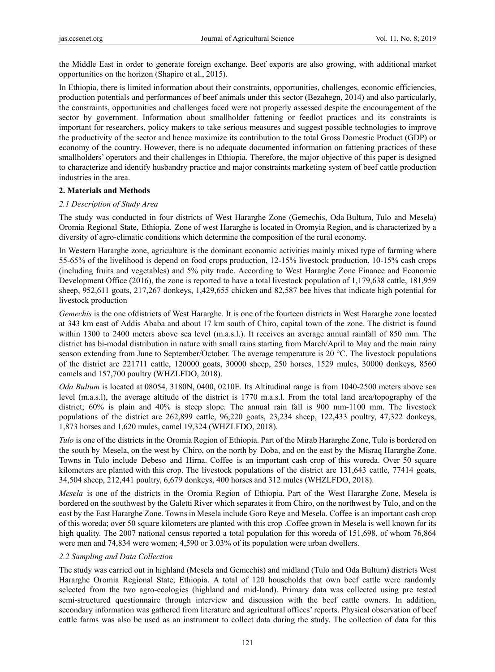the Middle East in order to generate foreign exchange. Beef exports are also growing, with additional market opportunities on the horizon (Shapiro et al., 2015).

In Ethiopia, there is limited information about their constraints, opportunities, challenges, economic efficiencies, production potentials and performances of beef animals under this sector (Bezahegn, 2014) and also particularly, the constraints, opportunities and challenges faced were not properly assessed despite the encouragement of the sector by government. Information about smallholder fattening or feedlot practices and its constraints is important for researchers, policy makers to take serious measures and suggest possible technologies to improve the productivity of the sector and hence maximize its contribution to the total Gross Domestic Product (GDP) or economy of the country. However, there is no adequate documented information on fattening practices of these smallholders' operators and their challenges in Ethiopia. Therefore, the major objective of this paper is designed to characterize and identify husbandry practice and major constraints marketing system of beef cattle production industries in the area.

## **2. Materials and Methods**

## *2.1 Description of Study Area*

The study was conducted in four districts of West Hararghe Zone (Gemechis, Oda Bultum, Tulo and Mesela) Oromia Regional State, Ethiopia. Zone of west Hararghe is located in Oromyia Region, and is characterized by a diversity of agro-climatic conditions which determine the composition of the rural economy.

In Western Hararghe zone, agriculture is the dominant economic activities mainly mixed type of farming where 55-65% of the livelihood is depend on food crops production, 12-15% livestock production, 10-15% cash crops (including fruits and vegetables) and 5% pity trade. According to West Hararghe Zone Finance and Economic Development Office (2016), the zone is reported to have a total livestock population of 1,179,638 cattle, 181,959 sheep, 952,611 goats, 217,267 donkeys, 1,429,655 chicken and 82,587 bee hives that indicate high potential for livestock production

*Gemechis* is the one ofdistricts of West Hararghe. It is one of the fourteen districts in West Hararghe zone located at 343 km east of Addis Ababa and about 17 km south of Chiro, capital town of the zone. The district is found within 1300 to 2400 meters above sea level (m.a.s.l.). It receives an average annual rainfall of 850 mm. The district has bi-modal distribution in nature with small rains starting from March/April to May and the main rainy season extending from June to September/October. The average temperature is 20 °C. The livestock populations of the district are 221711 cattle, 120000 goats, 30000 sheep, 250 horses, 1529 mules, 30000 donkeys, 8560 camels and 157,700 poultry (WHZLFDO, 2018).

*Oda Bultum* is located at 08054, 3180N, 0400, 0210E. Its Altitudinal range is from 1040-2500 meters above sea level (m.a.s.l), the average altitude of the district is 1770 m.a.s.l. From the total land area/topography of the district; 60% is plain and 40% is steep slope. The annual rain fall is 900 mm-1100 mm. The livestock populations of the district are 262,899 cattle, 96,220 goats, 23,234 sheep, 122,433 poultry, 47,322 donkeys, 1,873 horses and 1,620 mules, camel 19,324 (WHZLFDO, 2018).

*Tulo* is one of the districts in the Oromia Region of Ethiopia. Part of the Mirab Hararghe Zone, Tulo is bordered on the south by Mesela, on the west by Chiro, on the north by Doba, and on the east by the Misraq Hararghe Zone. Towns in Tulo include Debeso and Hirna. Coffee is an important cash crop of this woreda. Over 50 square kilometers are planted with this crop. The livestock populations of the district are 131,643 cattle, 77414 goats, 34,504 sheep, 212,441 poultry, 6,679 donkeys, 400 horses and 312 mules (WHZLFDO, 2018).

*Mesela* is one of the districts in the Oromia Region of Ethiopia. Part of the West Hararghe Zone, Mesela is bordered on the southwest by the Galetti River which separates it from Chiro, on the northwest by Tulo, and on the east by the East Hararghe Zone. Towns in Mesela include Goro Reye and Mesela. Coffee is an important cash crop of this woreda; over 50 square kilometers are planted with this crop .Coffee grown in Mesela is well known for its high quality. The 2007 national census reported a total population for this woreda of 151,698, of whom 76,864 were men and 74,834 were women; 4,590 or 3.03% of its population were urban dwellers.

## *2.2 Sampling and Data Collection*

The study was carried out in highland (Mesela and Gemechis) and midland (Tulo and Oda Bultum) districts West Hararghe Oromia Regional State, Ethiopia. A total of 120 households that own beef cattle were randomly selected from the two agro-ecologies (highland and mid-land). Primary data was collected using pre tested semi-structured questionnaire through interview and discussion with the beef cattle owners. In addition, secondary information was gathered from literature and agricultural offices' reports. Physical observation of beef cattle farms was also be used as an instrument to collect data during the study. The collection of data for this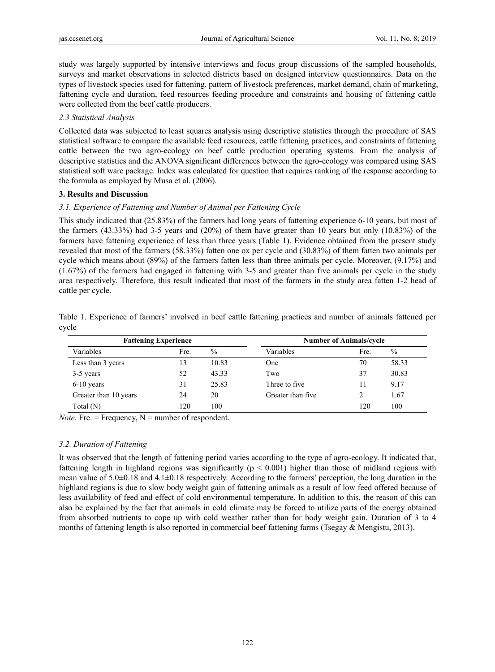study was largely supported by intensive interviews and focus group discussions of the sampled households, surveys and market observations in selected districts based on designed interview questionnaires. Data on the types of livestock species used for fattening, pattern of livestock preferences, market demand, chain of marketing, fattening cycle and duration, feed resources feeding procedure and constraints and housing of fattening cattle were collected from the beef cattle producers.

# *2.3 Statistical Analysis*

Collected data was subjected to least squares analysis using descriptive statistics through the procedure of SAS statistical software to compare the available feed resources, cattle fattening practices, and constraints of fattening cattle between the two agro-ecology on beef cattle production operating systems. From the analysis of descriptive statistics and the ANOVA significant differences between the agro-ecology was compared using SAS statistical soft ware package. Index was calculated for question that requires ranking of the response according to the formula as employed by Musa et al. (2006).

## **3. Results and Discussion**

# *3.1. Experience of Fattening and Number of Animal per Fattening Cycle*

This study indicated that (25.83%) of the farmers had long years of fattening experience 6-10 years, but most of the farmers (43.33%) had 3-5 years and (20%) of them have greater than 10 years but only (10.83%) of the farmers have fattening experience of less than three years (Table 1). Evidence obtained from the present study revealed that most of the farmers (58.33%) fatten one ox per cycle and (30.83%) of them fatten two animals per cycle which means about (89%) of the farmers fatten less than three animals per cycle. Moreover, (9.17%) and (1.67%) of the farmers had engaged in fattening with 3-5 and greater than five animals per cycle in the study area respectively. Therefore, this result indicated that most of the farmers in the study area fatten 1-2 head of cattle per cycle.

Table 1. Experience of farmers' involved in beef cattle fattening practices and number of animals fattened per cycle

|                       | <b>Fattening Experience</b> |       |                   | <b>Number of Animals/cycle</b> |       |
|-----------------------|-----------------------------|-------|-------------------|--------------------------------|-------|
| Variables             | Fre.                        | $\%$  | Variables         | Fre.                           | $\%$  |
| Less than 3 years     | 13                          | 10.83 | One               | 70                             | 58.33 |
| 3-5 years             | 52                          | 43.33 | Two               | 37                             | 30.83 |
| $6-10$ years          | 31                          | 25.83 | Three to five     | 11                             | 9.17  |
| Greater than 10 years | 24                          | 20    | Greater than five |                                | 1.67  |
| Total (N)             | 120                         | 100   |                   | 120                            | 100   |

*Note.* Fre.  $=$  Frequency,  $N =$  number of respondent.

# *3.2. Duration of Fattening*

It was observed that the length of fattening period varies according to the type of agro-ecology. It indicated that, fattening length in highland regions was significantly ( $p < 0.001$ ) higher than those of midland regions with mean value of 5.0±0.18 and 4.1±0.18 respectively. According to the farmers' perception, the long duration in the highland regions is due to slow body weight gain of fattening animals as a result of low feed offered because of less availability of feed and effect of cold environmental temperature. In addition to this, the reason of this can also be explained by the fact that animals in cold climate may be forced to utilize parts of the energy obtained from absorbed nutrients to cope up with cold weather rather than for body weight gain. Duration of 3 to 4 months of fattening length is also reported in commercial beef fattening farms (Tsegay & Mengistu, 2013).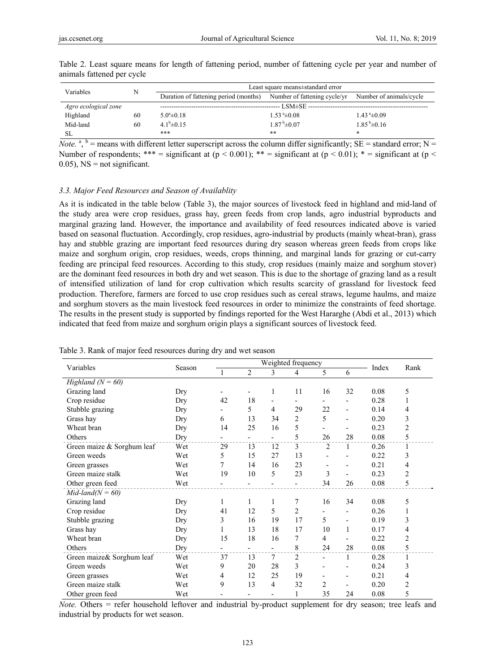| Variables            |    |                                       | Least square means±standard error |                             |
|----------------------|----|---------------------------------------|-----------------------------------|-----------------------------|
|                      |    | Duration of fattening period (months) | Number of fattening cycle/yr      | Number of animals/cycle     |
| Agro ecological zone |    |                                       |                                   |                             |
| Highland             | 60 | $5.0^{\circ} \pm 0.18$                | $1.53^{\text{a}}\pm 0.08$         | $1.43^{\text{a}}\pm0.09$    |
| Mid-land             | 60 | $4.1^b \pm 0.15$                      | $1.87^{\mathrm{b}}\pm 0.07$       | $1.85^{\mathrm{b}}\pm 0.16$ |
| SL                   |    | ***                                   | $***$                             | *                           |

Table 2. Least square means for length of fattening period, number of fattening cycle per year and number of animals fattened per cycle

*Note.* <sup>a</sup>, <sup>b</sup> = means with different letter superscript across the column differ significantly; SE = standard error; N = Number of respondents; \*\*\* = significant at ( $p < 0.001$ ); \*\* = significant at ( $p < 0.01$ ); \* = significant at ( $p <$  $0.05$ ), NS = not significant.

#### *3.3. Major Feed Resources and Season of Availablity*

As it is indicated in the table below (Table 3), the major sources of livestock feed in highland and mid-land of the study area were crop residues, grass hay, green feeds from crop lands, agro industrial byproducts and marginal grazing land. However, the importance and availability of feed resources indicated above is varied based on seasonal fluctuation. Accordingly, crop residues, agro-industrial by products (mainly wheat-bran), grass hay and stubble grazing are important feed resources during dry season whereas green feeds from crops like maize and sorghum origin, crop residues, weeds, crops thinning, and marginal lands for grazing or cut-carry feeding are principal feed resources. According to this study, crop residues (mainly maize and sorghum stover) are the dominant feed resources in both dry and wet season. This is due to the shortage of grazing land as a result of intensified utilization of land for crop cultivation which results scarcity of grassland for livestock feed production. Therefore, farmers are forced to use crop residues such as cereal straws, legume haulms, and maize and sorghum stovers as the main livestock feed resources in order to minimize the constraints of feed shortage. The results in the present study is supported by findings reported for the West Hararghe (Abdi et al., 2013) which indicated that feed from maize and sorghum origin plays a significant sources of livestock feed.

| Variables                  |        | Weighted frequency       |                          |                |                |                |                          |       |      |
|----------------------------|--------|--------------------------|--------------------------|----------------|----------------|----------------|--------------------------|-------|------|
|                            | Season | $\mathbf{1}$             | $\overline{2}$           | 3              | 4              | 5              | 6                        | Index | Rank |
| Highland $(N = 60)$        |        |                          |                          |                |                |                |                          |       |      |
| Grazing land               | Dry    |                          |                          | 1              | 11             | 16             | 32                       | 0.08  | 5    |
| Crop residue               | Dry    | 42                       | 18                       |                |                |                |                          | 0.28  | 1    |
| Stubble grazing            | Dry    | $\overline{\phantom{a}}$ | 5                        | 4              | 29             | 22             | $\overline{\phantom{0}}$ | 0.14  | 4    |
| Grass hay                  | Dry    | 6                        | 13                       | 34             | $\overline{c}$ | 5              | $\overline{a}$           | 0.20  | 3    |
| Wheat bran                 | Dry    | 14                       | 25                       | 16             | 5              |                |                          | 0.23  | 2    |
| Others                     | Dry    |                          |                          |                | 5              | 26             | 28                       | 0.08  | 5    |
| Green maize & Sorghum leaf | Wet    | 29                       | 13                       | 12             | 3              | 2              | 1                        | 0.26  | 1    |
| Green weeds                | Wet    | 5                        | 15                       | 27             | 13             |                |                          | 0.22  | 3    |
| Green grasses              | Wet    | 7                        | 14                       | 16             | 23             |                |                          | 0.21  | 4    |
| Green maize stalk          | Wet    | 19                       | 10                       | 5              | 23             | 3              | $\overline{\phantom{a}}$ | 0.23  | 2    |
| Other green feed           | Wet    | -                        | $\overline{\phantom{a}}$ | $\overline{a}$ |                | 34             | 26                       | 0.08  | 5    |
| $Mid$ -land( $N = 60$ )    |        |                          |                          |                |                |                |                          |       |      |
| Grazing land               | Dry    | 1                        | 1                        | 1              | 7              | 16             | 34                       | 0.08  | 5    |
| Crop residue               | Dry    | 41                       | 12                       | 5              | $\overline{c}$ |                |                          | 0.26  | 1    |
| Stubble grazing            | Dry    | 3                        | 16                       | 19             | 17             | 5              | $\overline{\phantom{a}}$ | 0.19  | 3    |
| Grass hay                  | Dry    | 1                        | 13                       | 18             | 17             | 10             | 1                        | 0.17  | 4    |
| Wheat bran                 | Dry    | 15                       | 18                       | 16             | 7              | $\overline{4}$ |                          | 0.22  | 2    |
| Others                     | Dry    |                          | $\overline{\phantom{0}}$ | $\blacksquare$ | 8              | 24             | 28                       | 0.08  | 5    |
| Green maize& Sorghum leaf  | Wet    | 37                       | 13                       | 7              | $\overline{c}$ | $\blacksquare$ | 1                        | 0.28  | 1    |
| Green weeds                | Wet    | 9                        | 20                       | 28             | 3              |                |                          | 0.24  | 3    |
| Green grasses              | Wet    | 4                        | 12                       | 25             | 19             |                | $\overline{a}$           | 0.21  | 4    |
| Green maize stalk          | Wet    | 9                        | 13                       | 4              | 32             | 2              |                          | 0.20  | 2    |
| Other green feed           | Wet    |                          |                          |                |                | 35             | 24                       | 0.08  | 5    |

Table 3. Rank of major feed resources during dry and wet season

*Note.* Others = refer household leftover and industrial by-product supplement for dry season; tree leafs and industrial by products for wet season.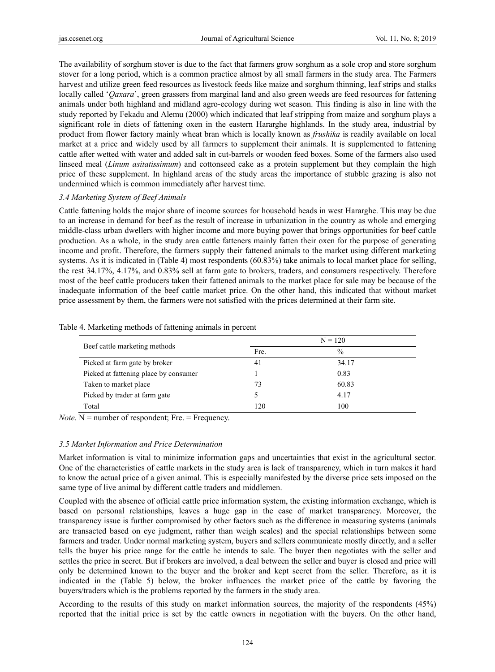The availability of sorghum stover is due to the fact that farmers grow sorghum as a sole crop and store sorghum stover for a long period, which is a common practice almost by all small farmers in the study area. The Farmers harvest and utilize green feed resources as livestock feeds like maize and sorghum thinning, leaf strips and stalks locally called '*Qaxara*', green grassers from marginal land and also green weeds are feed resources for fattening animals under both highland and midland agro-ecology during wet season. This finding is also in line with the study reported by Fekadu and Alemu (2000) which indicated that leaf stripping from maize and sorghum plays a significant role in diets of fattening oxen in the eastern Hararghe highlands. In the study area, industrial by product from flower factory mainly wheat bran which is locally known as *frushika* is readily available on local market at a price and widely used by all farmers to supplement their animals. It is supplemented to fattening cattle after wetted with water and added salt in cut-barrels or wooden feed boxes. Some of the farmers also used linseed meal (*Linum asitatissimum*) and cottonseed cake as a protein supplement but they complain the high price of these supplement. In highland areas of the study areas the importance of stubble grazing is also not undermined which is common immediately after harvest time.

# *3.4 Marketing System of Beef Animals*

Cattle fattening holds the major share of income sources for household heads in west Hararghe. This may be due to an increase in demand for beef as the result of increase in urbanization in the country as whole and emerging middle-class urban dwellers with higher income and more buying power that brings opportunities for beef cattle production. As a whole, in the study area cattle fatteners mainly fatten their oxen for the purpose of generating income and profit. Therefore, the farmers supply their fattened animals to the market using different marketing systems. As it is indicated in (Table 4) most respondents (60.83%) take animals to local market place for selling, the rest 34.17%, 4.17%, and 0.83% sell at farm gate to brokers, traders, and consumers respectively. Therefore most of the beef cattle producers taken their fattened animals to the market place for sale may be because of the inadequate information of the beef cattle market price. On the other hand, this indicated that without market price assessment by them, the farmers were not satisfied with the prices determined at their farm site.

|                                       | $N = 120$ |               |  |  |
|---------------------------------------|-----------|---------------|--|--|
| Beef cattle marketing methods         | Fre.      | $\frac{0}{0}$ |  |  |
| Picked at farm gate by broker         | 41        | 34.17         |  |  |
| Picked at fattening place by consumer |           | 0.83          |  |  |
| Taken to market place                 | 73        | 60.83         |  |  |
| Picked by trader at farm gate         |           | 4.17          |  |  |
| Total                                 | 120       | 100           |  |  |

Table 4. Marketing methods of fattening animals in percent

*Note.* N = number of respondent; Fre. = Frequency.

# *3.5 Market Information and Price Determination*

Market information is vital to minimize information gaps and uncertainties that exist in the agricultural sector. One of the characteristics of cattle markets in the study area is lack of transparency, which in turn makes it hard to know the actual price of a given animal. This is especially manifested by the diverse price sets imposed on the same type of live animal by different cattle traders and middlemen.

Coupled with the absence of official cattle price information system, the existing information exchange, which is based on personal relationships, leaves a huge gap in the case of market transparency. Moreover, the transparency issue is further compromised by other factors such as the difference in measuring systems (animals are transacted based on eye judgment, rather than weigh scales) and the special relationships between some farmers and trader. Under normal marketing system, buyers and sellers communicate mostly directly, and a seller tells the buyer his price range for the cattle he intends to sale. The buyer then negotiates with the seller and settles the price in secret. But if brokers are involved, a deal between the seller and buyer is closed and price will only be determined known to the buyer and the broker and kept secret from the seller. Therefore, as it is indicated in the (Table 5) below, the broker influences the market price of the cattle by favoring the buyers/traders which is the problems reported by the farmers in the study area.

According to the results of this study on market information sources, the majority of the respondents (45%) reported that the initial price is set by the cattle owners in negotiation with the buyers. On the other hand,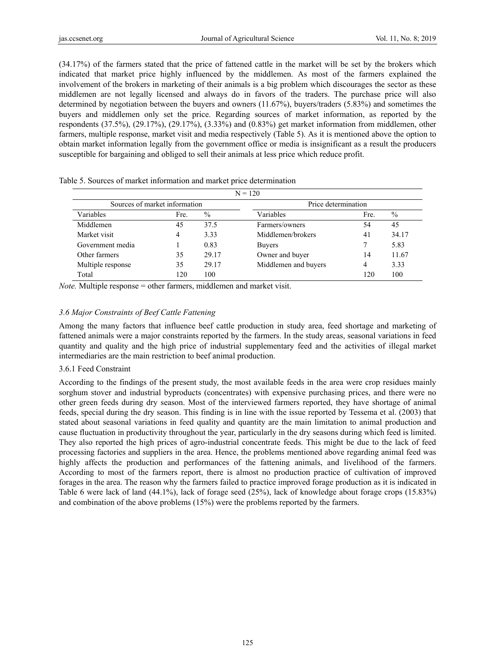(34.17%) of the farmers stated that the price of fattened cattle in the market will be set by the brokers which indicated that market price highly influenced by the middlemen. As most of the farmers explained the involvement of the brokers in marketing of their animals is a big problem which discourages the sector as these middlemen are not legally licensed and always do in favors of the traders. The purchase price will also determined by negotiation between the buyers and owners (11.67%), buyers/traders (5.83%) and sometimes the buyers and middlemen only set the price. Regarding sources of market information, as reported by the respondents (37.5%), (29.17%), (29.17%), (3.33%) and (0.83%) get market information from middlemen, other farmers, multiple response, market visit and media respectively (Table 5). As it is mentioned above the option to obtain market information legally from the government office or media is insignificant as a result the producers susceptible for bargaining and obliged to sell their animals at less price which reduce profit.

|                               |      |                     | $N = 120$            |      |       |
|-------------------------------|------|---------------------|----------------------|------|-------|
| Sources of market information |      | Price determination |                      |      |       |
| Variables                     | Fre. | $\%$                | Variables            | Fre. | $\%$  |
| Middlemen                     | 45   | 37.5                | Farmers/owners       | 54   | 45    |
| Market visit                  | 4    | 3.33                | Middlemen/brokers    | 41   | 34.17 |
| Government media              |      | 0.83                | <b>Buvers</b>        |      | 5.83  |
| Other farmers                 | 35   | 29.17               | Owner and buyer      | 14   | 11.67 |
| Multiple response             | 35   | 29.17               | Middlemen and buyers | 4    | 3.33  |
| Total                         | 120  | 100                 |                      | 120  | 100   |

Table 5. Sources of market information and market price determination

*Note.* Multiple response = other farmers, middlemen and market visit.

## *3.6 Major Constraints of Beef Cattle Fattening*

Among the many factors that influence beef cattle production in study area, feed shortage and marketing of fattened animals were a major constraints reported by the farmers. In the study areas, seasonal variations in feed quantity and quality and the high price of industrial supplementary feed and the activities of illegal market intermediaries are the main restriction to beef animal production.

#### 3.6.1 Feed Constraint

According to the findings of the present study, the most available feeds in the area were crop residues mainly sorghum stover and industrial byproducts (concentrates) with expensive purchasing prices, and there were no other green feeds during dry season. Most of the interviewed farmers reported, they have shortage of animal feeds, special during the dry season. This finding is in line with the issue reported by Tessema et al. (2003) that stated about seasonal variations in feed quality and quantity are the main limitation to animal production and cause fluctuation in productivity throughout the year, particularly in the dry seasons during which feed is limited. They also reported the high prices of agro-industrial concentrate feeds. This might be due to the lack of feed processing factories and suppliers in the area. Hence, the problems mentioned above regarding animal feed was highly affects the production and performances of the fattening animals, and livelihood of the farmers. According to most of the farmers report, there is almost no production practice of cultivation of improved forages in the area. The reason why the farmers failed to practice improved forage production as it is indicated in Table 6 were lack of land (44.1%), lack of forage seed (25%), lack of knowledge about forage crops (15.83%) and combination of the above problems (15%) were the problems reported by the farmers.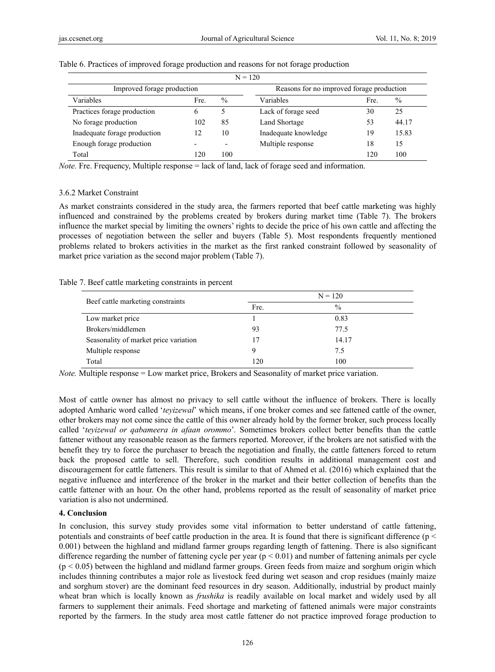|                              |      |               | $N = 120$                                 |      |               |
|------------------------------|------|---------------|-------------------------------------------|------|---------------|
| Improved forage production   |      |               | Reasons for no improved forage production |      |               |
| Variables                    | Fre. | $\frac{0}{0}$ | Variables                                 | Fre. | $\frac{0}{0}$ |
| Practices forage production  | 6    |               | Lack of forage seed                       | 30   | 25            |
| No forage production         | 102  | 85            | <b>Land Shortage</b>                      | 53   | 44.17         |
| Inadequate forage production | 12   | 10            | Inadequate knowledge                      | 19   | 15.83         |
| Enough forage production     |      |               | Multiple response                         | 18   | 15            |
| Total                        | 120  | 100           |                                           | 120  | 100           |

#### Table 6. Practices of improved forage production and reasons for not forage production

*Note.* Fre. Frequency, Multiple response = lack of land, lack of forage seed and information.

## 3.6.2 Market Constraint

As market constraints considered in the study area, the farmers reported that beef cattle marketing was highly influenced and constrained by the problems created by brokers during market time (Table 7). The brokers influence the market special by limiting the owners' rights to decide the price of his own cattle and affecting the processes of negotiation between the seller and buyers (Table 5). Most respondents frequently mentioned problems related to brokers activities in the market as the first ranked constraint followed by seasonality of market price variation as the second major problem (Table 7).

## Table 7. Beef cattle marketing constraints in percent

| Beef cattle marketing constraints     | $N = 120$ |               |  |  |
|---------------------------------------|-----------|---------------|--|--|
|                                       | Fre.      | $\frac{0}{0}$ |  |  |
| Low market price                      |           | 0.83          |  |  |
| Brokers/middlemen                     | 93        | 77.5          |  |  |
| Seasonality of market price variation |           | 14.17         |  |  |
| Multiple response                     | Q         | 7.5           |  |  |
| Total                                 | 120       | 100           |  |  |

*Note.* Multiple response = Low market price, Brokers and Seasonality of market price variation.

Most of cattle owner has almost no privacy to sell cattle without the influence of brokers. There is locally adopted Amharic word called '*teyizewal*' which means, if one broker comes and see fattened cattle of the owner, other brokers may not come since the cattle of this owner already hold by the former broker, such process locally called '*teyizewal or qabameera in afaan orommo*'*.* Sometimes brokers collect better benefits than the cattle fattener without any reasonable reason as the farmers reported. Moreover, if the brokers are not satisfied with the benefit they try to force the purchaser to breach the negotiation and finally, the cattle fatteners forced to return back the proposed cattle to sell. Therefore, such condition results in additional management cost and discouragement for cattle fatteners. This result is similar to that of Ahmed et al. (2016) which explained that the negative influence and interference of the broker in the market and their better collection of benefits than the cattle fattener with an hour. On the other hand, problems reported as the result of seasonality of market price variation is also not undermined.

## **4. Conclusion**

In conclusion, this survey study provides some vital information to better understand of cattle fattening, potentials and constraints of beef cattle production in the area. It is found that there is significant difference ( $p <$ 0.001) between the highland and midland farmer groups regarding length of fattening. There is also significant difference regarding the number of fattening cycle per year ( $p < 0.01$ ) and number of fattening animals per cycle  $(p < 0.05)$  between the highland and midland farmer groups. Green feeds from maize and sorghum origin which includes thinning contributes a major role as livestock feed during wet season and crop residues (mainly maize and sorghum stover) are the dominant feed resources in dry season. Additionally, industrial by product mainly wheat bran which is locally known as *frushika* is readily available on local market and widely used by all farmers to supplement their animals. Feed shortage and marketing of fattened animals were major constraints reported by the farmers. In the study area most cattle fattener do not practice improved forage production to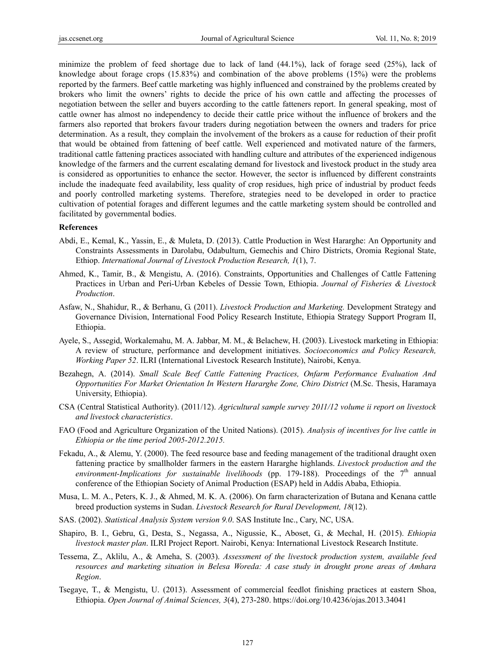minimize the problem of feed shortage due to lack of land (44.1%), lack of forage seed (25%), lack of knowledge about forage crops (15.83%) and combination of the above problems (15%) were the problems reported by the farmers. Beef cattle marketing was highly influenced and constrained by the problems created by brokers who limit the owners' rights to decide the price of his own cattle and affecting the processes of negotiation between the seller and buyers according to the cattle fatteners report. In general speaking, most of cattle owner has almost no independency to decide their cattle price without the influence of brokers and the farmers also reported that brokers favour traders during negotiation between the owners and traders for price determination. As a result, they complain the involvement of the brokers as a cause for reduction of their profit that would be obtained from fattening of beef cattle. Well experienced and motivated nature of the farmers, traditional cattle fattening practices associated with handling culture and attributes of the experienced indigenous knowledge of the farmers and the current escalating demand for livestock and livestock product in the study area is considered as opportunities to enhance the sector. However, the sector is influenced by different constraints include the inadequate feed availability, less quality of crop residues, high price of industrial by product feeds and poorly controlled marketing systems. Therefore, strategies need to be developed in order to practice cultivation of potential forages and different legumes and the cattle marketing system should be controlled and facilitated by governmental bodies.

#### **References**

- Abdi, E., Kemal, K., Yassin, E., & Muleta, D. (2013). Cattle Production in West Hararghe: An Opportunity and Constraints Assessments in Darolabu, Odabultum, Gemechis and Chiro Districts, Oromia Regional State, Ethiop. *International Journal of Livestock Production Research, 1*(1), 7.
- Ahmed, K., Tamir, B., & Mengistu, A. (2016). Constraints, Opportunities and Challenges of Cattle Fattening Practices in Urban and Peri-Urban Kebeles of Dessie Town, Ethiopia. *Journal of Fisheries & Livestock Production*.
- Asfaw, N., Shahidur, R., & Berhanu, G. (2011). *Livestock Production and Marketing.* Development Strategy and Governance Division, International Food Policy Research Institute, Ethiopia Strategy Support Program II, Ethiopia.
- Ayele, S., Assegid, Workalemahu, M. A. Jabbar, M. M., & Belachew, H. (2003). Livestock marketing in Ethiopia: A review of structure, performance and development initiatives. *Socioeconomics and Policy Research, Working Paper 52*. ILRI (International Livestock Research Institute), Nairobi, Kenya.
- Bezahegn, A. (2014). *Small Scale Beef Cattle Fattening Practices, Onfarm Performance Evaluation And Opportunities For Market Orientation In Western Hararghe Zone, Chiro District* (M.Sc. Thesis, Haramaya University, Ethiopia).
- CSA (Central Statistical Authority). (2011/12). *Agricultural sample survey 2011/12 volume ii report on livestock and livestock characteristics*.
- FAO (Food and Agriculture Organization of the United Nations). (2015). *Analysis of incentives for live cattle in Ethiopia or the time period 2005-2012.2015.*
- Fekadu, A., & Alemu, Y. (2000). The feed resource base and feeding management of the traditional draught oxen fattening practice by smallholder farmers in the eastern Hararghe highlands. *Livestock production and the environment-Implications for sustainable livelihoods* (pp. 179-188). Proceedings of the  $7<sup>th</sup>$  annual conference of the Ethiopian Society of Animal Production (ESAP) held in Addis Ababa, Ethiopia.
- Musa, L. M. A., Peters, K. J., & Ahmed, M. K. A. (2006). On farm characterization of Butana and Kenana cattle breed production systems in Sudan. *Livestock Research for Rural Development, 18*(12).
- SAS. (2002). *Statistical Analysis System version 9.0*. SAS Institute Inc., Cary, NC, USA.
- Shapiro, B. I., Gebru, G., Desta, S., Negassa, A., Nigussie, K., Aboset, G., & Mechal, H. (2015). *Ethiopia livestock master plan*. ILRI Project Report. Nairobi, Kenya: International Livestock Research Institute.
- Tessema, Z., Aklilu, A., & Ameha, S. (2003). *Assessment of the livestock production system, available feed resources and marketing situation in Belesa Woreda: A case study in drought prone areas of Amhara Region*.
- Tsegaye, T., & Mengistu, U. (2013). Assessment of commercial feedlot finishing practices at eastern Shoa, Ethiopia. *Open Journal of Animal Sciences, 3*(4), 273-280. https://doi.org/10.4236/ojas.2013.34041